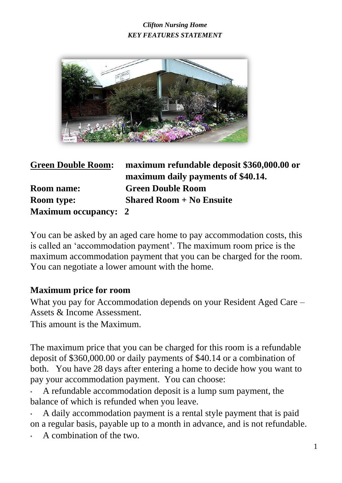

**Green Double Room: maximum refundable deposit \$360,000.00 or maximum daily payments of \$40.14. Room name: Green Double Room Room type: Shared Room + No Ensuite Maximum occupancy: 2** 

You can be asked by an aged care home to pay accommodation costs, this is called an 'accommodation payment'. The maximum room price is the maximum accommodation payment that you can be charged for the room. You can negotiate a lower amount with the home.

#### **Maximum price for room**

What you pay for Accommodation depends on your Resident Aged Care – Assets & Income Assessment.

This amount is the Maximum.

The maximum price that you can be charged for this room is a refundable deposit of \$360,000.00 or daily payments of \$40.14 or a combination of both. You have 28 days after entering a home to decide how you want to pay your accommodation payment. You can choose:

• A refundable accommodation deposit is a lump sum payment, the balance of which is refunded when you leave.

• A daily accommodation payment is a rental style payment that is paid on a regular basis, payable up to a month in advance, and is not refundable.

• A combination of the two.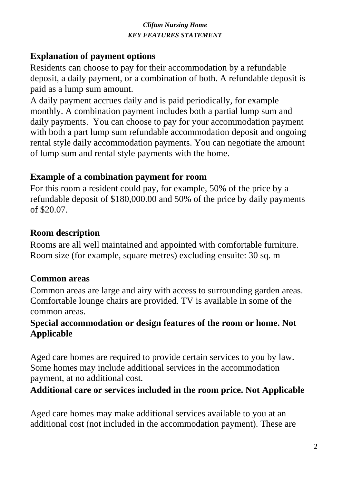## **Explanation of payment options**

Residents can choose to pay for their accommodation by a refundable deposit, a daily payment, or a combination of both. A refundable deposit is paid as a lump sum amount.

A daily payment accrues daily and is paid periodically, for example monthly. A combination payment includes both a partial lump sum and daily payments. You can choose to pay for your accommodation payment with both a part lump sum refundable accommodation deposit and ongoing rental style daily accommodation payments. You can negotiate the amount of lump sum and rental style payments with the home.

## **Example of a combination payment for room**

For this room a resident could pay, for example, 50% of the price by a refundable deposit of \$180,000.00 and 50% of the price by daily payments of \$20.07.

## **Room description**

Rooms are all well maintained and appointed with comfortable furniture. Room size (for example, square metres) excluding ensuite: 30 sq. m

## **Common areas**

Common areas are large and airy with access to surrounding garden areas. Comfortable lounge chairs are provided. TV is available in some of the common areas.

## **Special accommodation or design features of the room or home. Not Applicable**

Aged care homes are required to provide certain services to you by law. Some homes may include additional services in the accommodation payment, at no additional cost.

## **Additional care or services included in the room price. Not Applicable**

Aged care homes may make additional services available to you at an additional cost (not included in the accommodation payment). These are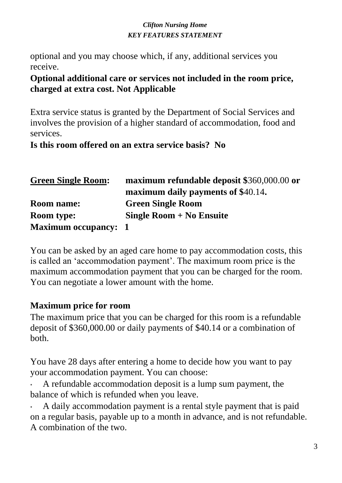optional and you may choose which, if any, additional services you receive.

### **Optional additional care or services not included in the room price, charged at extra cost. Not Applicable**

Extra service status is granted by the Department of Social Services and involves the provision of a higher standard of accommodation, food and services.

### **Is this room offered on an extra service basis? No**

| <b>Green Single Room:</b>   | maximum refundable deposit \$360,000.00 or |
|-----------------------------|--------------------------------------------|
|                             | maximum daily payments of \$40.14.         |
| <b>Room name:</b>           | <b>Green Single Room</b>                   |
| <b>Room type:</b>           | Single Room $+$ No Ensuite                 |
| <b>Maximum occupancy: 1</b> |                                            |

You can be asked by an aged care home to pay accommodation costs, this is called an 'accommodation payment'. The maximum room price is the maximum accommodation payment that you can be charged for the room. You can negotiate a lower amount with the home.

## **Maximum price for room**

The maximum price that you can be charged for this room is a refundable deposit of \$360,000.00 or daily payments of \$40.14 or a combination of both.

You have 28 days after entering a home to decide how you want to pay your accommodation payment. You can choose:

• A refundable accommodation deposit is a lump sum payment, the balance of which is refunded when you leave.

• A daily accommodation payment is a rental style payment that is paid on a regular basis, payable up to a month in advance, and is not refundable. A combination of the two.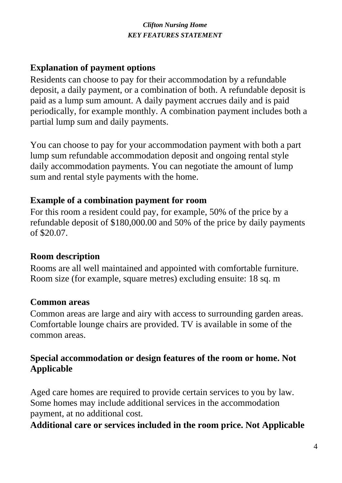## **Explanation of payment options**

Residents can choose to pay for their accommodation by a refundable deposit, a daily payment, or a combination of both. A refundable deposit is paid as a lump sum amount. A daily payment accrues daily and is paid periodically, for example monthly. A combination payment includes both a partial lump sum and daily payments.

You can choose to pay for your accommodation payment with both a part lump sum refundable accommodation deposit and ongoing rental style daily accommodation payments. You can negotiate the amount of lump sum and rental style payments with the home.

## **Example of a combination payment for room**

For this room a resident could pay, for example, 50% of the price by a refundable deposit of \$180,000.00 and 50% of the price by daily payments of \$20.07.

## **Room description**

Rooms are all well maintained and appointed with comfortable furniture. Room size (for example, square metres) excluding ensuite: 18 sq. m

## **Common areas**

Common areas are large and airy with access to surrounding garden areas. Comfortable lounge chairs are provided. TV is available in some of the common areas.

## **Special accommodation or design features of the room or home. Not Applicable**

Aged care homes are required to provide certain services to you by law. Some homes may include additional services in the accommodation payment, at no additional cost.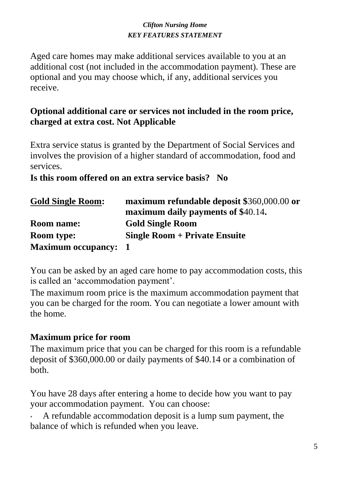Aged care homes may make additional services available to you at an additional cost (not included in the accommodation payment). These are optional and you may choose which, if any, additional services you receive.

## **Optional additional care or services not included in the room price, charged at extra cost. Not Applicable**

Extra service status is granted by the Department of Social Services and involves the provision of a higher standard of accommodation, food and services.

### **Is this room offered on an extra service basis? No**

| <b>Gold Single Room:</b>    | maximum refundable deposit \$360,000.00 or |
|-----------------------------|--------------------------------------------|
|                             | maximum daily payments of \$40.14.         |
| <b>Room name:</b>           | <b>Gold Single Room</b>                    |
| <b>Room type:</b>           | <b>Single Room + Private Ensuite</b>       |
| <b>Maximum occupancy: 1</b> |                                            |

You can be asked by an aged care home to pay accommodation costs, this is called an 'accommodation payment'.

The maximum room price is the maximum accommodation payment that you can be charged for the room. You can negotiate a lower amount with the home.

## **Maximum price for room**

The maximum price that you can be charged for this room is a refundable deposit of \$360,000.00 or daily payments of \$40.14 or a combination of both.

You have 28 days after entering a home to decide how you want to pay your accommodation payment. You can choose:

• A refundable accommodation deposit is a lump sum payment, the balance of which is refunded when you leave.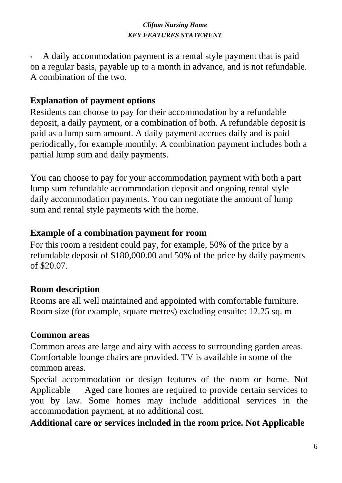• A daily accommodation payment is a rental style payment that is paid on a regular basis, payable up to a month in advance, and is not refundable. A combination of the two.

## **Explanation of payment options**

Residents can choose to pay for their accommodation by a refundable deposit, a daily payment, or a combination of both. A refundable deposit is paid as a lump sum amount. A daily payment accrues daily and is paid periodically, for example monthly. A combination payment includes both a partial lump sum and daily payments.

You can choose to pay for your accommodation payment with both a part lump sum refundable accommodation deposit and ongoing rental style daily accommodation payments. You can negotiate the amount of lump sum and rental style payments with the home.

## **Example of a combination payment for room**

For this room a resident could pay, for example, 50% of the price by a refundable deposit of \$180,000.00 and 50% of the price by daily payments of \$20.07.

## **Room description**

Rooms are all well maintained and appointed with comfortable furniture. Room size (for example, square metres) excluding ensuite: 12.25 sq. m

## **Common areas**

Common areas are large and airy with access to surrounding garden areas. Comfortable lounge chairs are provided. TV is available in some of the common areas.

Special accommodation or design features of the room or home. Not Applicable Aged care homes are required to provide certain services to you by law. Some homes may include additional services in the accommodation payment, at no additional cost.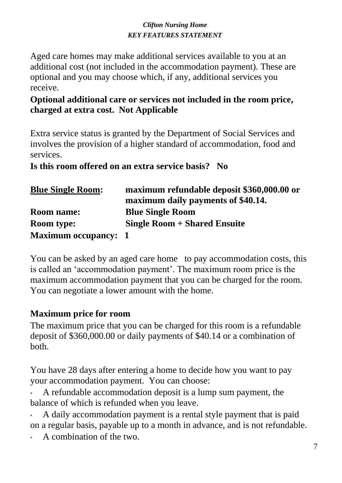Aged care homes may make additional services available to you at an additional cost (not included in the accommodation payment). These are optional and you may choose which, if any, additional services you receive.

### **Optional additional care or services not included in the room price, charged at extra cost. Not Applicable**

Extra service status is granted by the Department of Social Services and involves the provision of a higher standard of accommodation, food and services.

**Is this room offered on an extra service basis? No** 

| <b>Blue Single Room:</b>    | maximum refundable deposit \$360,000.00 or |
|-----------------------------|--------------------------------------------|
|                             | maximum daily payments of \$40.14.         |
| <b>Room name:</b>           | <b>Blue Single Room</b>                    |
| <b>Room type:</b>           | <b>Single Room + Shared Ensuite</b>        |
| <b>Maximum occupancy: 1</b> |                                            |

You can be asked by an aged care home to pay accommodation costs, this is called an 'accommodation payment'. The maximum room price is the maximum accommodation payment that you can be charged for the room. You can negotiate a lower amount with the home.

## **Maximum price for room**

The maximum price that you can be charged for this room is a refundable deposit of \$360,000.00 or daily payments of \$40.14 or a combination of both.

You have 28 days after entering a home to decide how you want to pay your accommodation payment. You can choose:

• A refundable accommodation deposit is a lump sum payment, the balance of which is refunded when you leave.

• A daily accommodation payment is a rental style payment that is paid on a regular basis, payable up to a month in advance, and is not refundable.

• A combination of the two.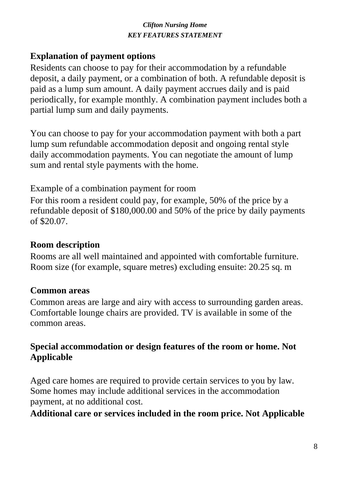## **Explanation of payment options**

Residents can choose to pay for their accommodation by a refundable deposit, a daily payment, or a combination of both. A refundable deposit is paid as a lump sum amount. A daily payment accrues daily and is paid periodically, for example monthly. A combination payment includes both a partial lump sum and daily payments.

You can choose to pay for your accommodation payment with both a part lump sum refundable accommodation deposit and ongoing rental style daily accommodation payments. You can negotiate the amount of lump sum and rental style payments with the home.

Example of a combination payment for room

For this room a resident could pay, for example, 50% of the price by a refundable deposit of \$180,000.00 and 50% of the price by daily payments of \$20.07.

## **Room description**

Rooms are all well maintained and appointed with comfortable furniture. Room size (for example, square metres) excluding ensuite: 20.25 sq. m

## **Common areas**

Common areas are large and airy with access to surrounding garden areas. Comfortable lounge chairs are provided. TV is available in some of the common areas.

## **Special accommodation or design features of the room or home. Not Applicable**

Aged care homes are required to provide certain services to you by law. Some homes may include additional services in the accommodation payment, at no additional cost.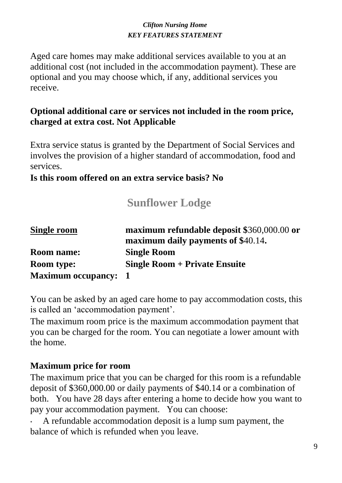Aged care homes may make additional services available to you at an additional cost (not included in the accommodation payment). These are optional and you may choose which, if any, additional services you receive.

## **Optional additional care or services not included in the room price, charged at extra cost. Not Applicable**

Extra service status is granted by the Department of Social Services and involves the provision of a higher standard of accommodation, food and services.

### **Is this room offered on an extra service basis? No**

# **Sunflower Lodge**

| <b>Single room</b>          | maximum refundable deposit \$360,000.00 or |
|-----------------------------|--------------------------------------------|
|                             | maximum daily payments of \$40.14.         |
| <b>Room name:</b>           | <b>Single Room</b>                         |
| <b>Room type:</b>           | <b>Single Room + Private Ensuite</b>       |
| <b>Maximum occupancy: 1</b> |                                            |

You can be asked by an aged care home to pay accommodation costs, this is called an 'accommodation payment'.

The maximum room price is the maximum accommodation payment that you can be charged for the room. You can negotiate a lower amount with the home.

## **Maximum price for room**

The maximum price that you can be charged for this room is a refundable deposit of \$360,000.00 or daily payments of \$40.14 or a combination of both. You have 28 days after entering a home to decide how you want to pay your accommodation payment. You can choose:

• A refundable accommodation deposit is a lump sum payment, the balance of which is refunded when you leave.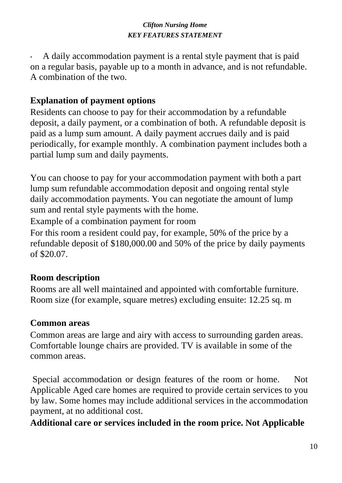• A daily accommodation payment is a rental style payment that is paid on a regular basis, payable up to a month in advance, and is not refundable. A combination of the two.

## **Explanation of payment options**

Residents can choose to pay for their accommodation by a refundable deposit, a daily payment, or a combination of both. A refundable deposit is paid as a lump sum amount. A daily payment accrues daily and is paid periodically, for example monthly. A combination payment includes both a partial lump sum and daily payments.

You can choose to pay for your accommodation payment with both a part lump sum refundable accommodation deposit and ongoing rental style daily accommodation payments. You can negotiate the amount of lump sum and rental style payments with the home.

Example of a combination payment for room

For this room a resident could pay, for example, 50% of the price by a refundable deposit of \$180,000.00 and 50% of the price by daily payments of \$20.07.

## **Room description**

Rooms are all well maintained and appointed with comfortable furniture. Room size (for example, square metres) excluding ensuite: 12.25 sq. m

## **Common areas**

Common areas are large and airy with access to surrounding garden areas. Comfortable lounge chairs are provided. TV is available in some of the common areas.

Special accommodation or design features of the room or home. Not Applicable Aged care homes are required to provide certain services to you by law. Some homes may include additional services in the accommodation payment, at no additional cost.